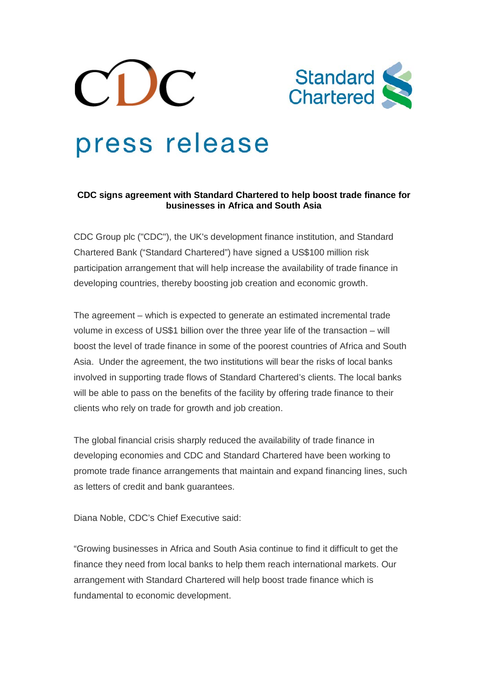



# press release

## **CDC signs agreement with Standard Chartered to help boost trade finance for businesses in Africa and South Asia**

CDC Group plc ("CDC"), the UK's development finance institution, and Standard Chartered Bank ("Standard Chartered") have signed a US\$100 million risk participation arrangement that will help increase the availability of trade finance in developing countries, thereby boosting job creation and economic growth.

The agreement – which is expected to generate an estimated incremental trade volume in excess of US\$1 billion over the three year life of the transaction – will boost the level of trade finance in some of the poorest countries of Africa and South Asia. Under the agreement, the two institutions will bear the risks of local banks involved in supporting trade flows of Standard Chartered's clients. The local banks will be able to pass on the benefits of the facility by offering trade finance to their clients who rely on trade for growth and job creation.

The global financial crisis sharply reduced the availability of trade finance in developing economies and CDC and Standard Chartered have been working to promote trade finance arrangements that maintain and expand financing lines, such as letters of credit and bank guarantees.

Diana Noble, CDC's Chief Executive said:

"Growing businesses in Africa and South Asia continue to find it difficult to get the finance they need from local banks to help them reach international markets. Our arrangement with Standard Chartered will help boost trade finance which is fundamental to economic development.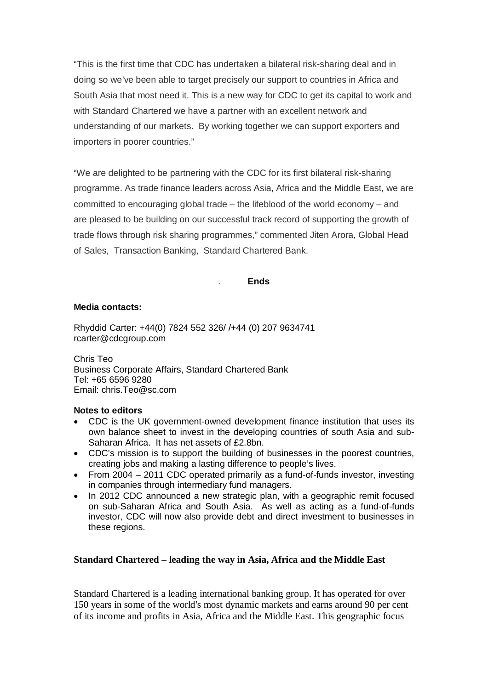"This is the first time that CDC has undertaken a bilateral risk-sharing deal and in doing so we've been able to target precisely our support to countries in Africa and South Asia that most need it. This is a new way for CDC to get its capital to work and with Standard Chartered we have a partner with an excellent network and understanding of our markets. By working together we can support exporters and importers in poorer countries."

"We are delighted to be partnering with the CDC for its first bilateral risk-sharing programme. As trade finance leaders across Asia, Africa and the Middle East, we are committed to encouraging global trade – the lifeblood of the world economy – and are pleased to be building on our successful track record of supporting the growth of trade flows through risk sharing programmes," commented Jiten Arora, Global Head of Sales, Transaction Banking, Standard Chartered Bank.

### . **Ends**

### **Media contacts:**

Rhyddid Carter: +44(0) 7824 552 326/ /+44 (0) 207 9634741 rcarter@cdcgroup.com

Chris Teo Business Corporate Affairs, Standard Chartered Bank Tel: +65 6596 9280 Email: chris.Teo@sc.com

#### **Notes to editors**

- CDC is the UK government-owned development finance institution that uses its own balance sheet to invest in the developing countries of south Asia and sub-Saharan Africa. It has net assets of £2.8bn.
- CDC's mission is to support the building of businesses in the poorest countries, creating jobs and making a lasting difference to people's lives.
- From 2004 2011 CDC operated primarily as a fund-of-funds investor, investing in companies through intermediary fund managers.
- In 2012 CDC announced a new strategic plan, with a geographic remit focused on sub-Saharan Africa and South Asia. As well as acting as a fund-of-funds investor, CDC will now also provide debt and direct investment to businesses in these regions.

## **Standard Chartered – leading the way in Asia, Africa and the Middle East**

Standard Chartered is a leading international banking group. It has operated for over 150 years in some of the world's most dynamic markets and earns around 90 per cent of its income and profits in Asia, Africa and the Middle East. This geographic focus